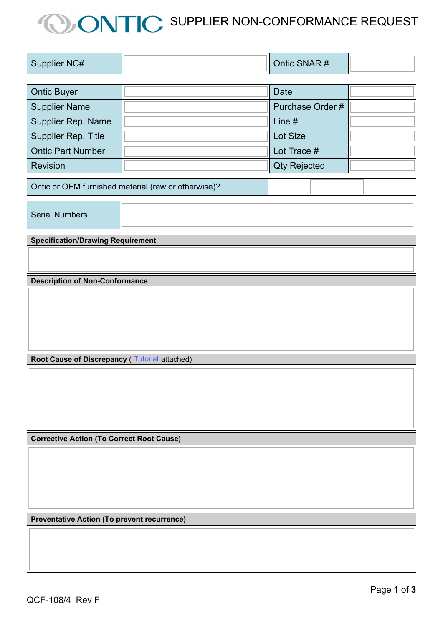## **CONTIC** SUPPLIER NON-CONFORMANCE REQUEST

| <b>Supplier NC#</b> |  | SNAR#<br>Ontic |  |
|---------------------|--|----------------|--|
|                     |  |                |  |

| <b>Ontic Buyer</b>        | Date                |  |
|---------------------------|---------------------|--|
| <b>Supplier Name</b>      | Purchase Order #    |  |
| <b>Supplier Rep. Name</b> | Line $#$            |  |
| Supplier Rep. Title       | Lot Size            |  |
| <b>Ontic Part Number</b>  | Lot Trace #         |  |
| <b>Revision</b>           | <b>Qty Rejected</b> |  |

Ontic or OEM furnished material (raw or otherwise)?

Serial Numbers

**Specification/Drawing Requirement**

**Description of Non-Conformance**

**Root Cause of Discrepancy** ( **[Tutorial](http://www.ontic.com/docs/default-source/resources/root-cause-analysis-tutorial_may-2015.pdf)** attached)

**Corrective Action (To Correct Root Cause)** 

**Preventative Action (To prevent recurrence)**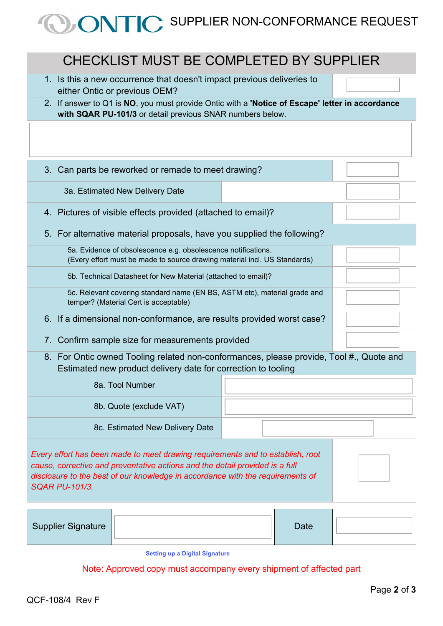## **OONTIC** SUPPLIER NON-CONFORMANCE REQUEST

| CHECKLIST MUST BE COMPLETED BY SUPPLIER                                                                                                                                                                                                                                   |  |  |  |  |
|---------------------------------------------------------------------------------------------------------------------------------------------------------------------------------------------------------------------------------------------------------------------------|--|--|--|--|
| 1. Is this a new occurrence that doesn't impact previous deliveries to<br>either Ontic or previous OEM?                                                                                                                                                                   |  |  |  |  |
| 2. If answer to Q1 is NO, you must provide Ontic with a 'Notice of Escape' letter in accordance<br>with SQAR PU-101/3 or detail previous SNAR numbers below.                                                                                                              |  |  |  |  |
|                                                                                                                                                                                                                                                                           |  |  |  |  |
| Can parts be reworked or remade to meet drawing?<br>$3_{-}$                                                                                                                                                                                                               |  |  |  |  |
| 3a. Estimated New Delivery Date                                                                                                                                                                                                                                           |  |  |  |  |
| 4. Pictures of visible effects provided (attached to email)?                                                                                                                                                                                                              |  |  |  |  |
| 5. For alternative material proposals, have you supplied the following?                                                                                                                                                                                                   |  |  |  |  |
| 5a. Evidence of obsolescence e.g. obsolescence notifications.<br>(Every effort must be made to source drawing material incl. US Standards)                                                                                                                                |  |  |  |  |
| 5b. Technical Datasheet for New Material (attached to email)?                                                                                                                                                                                                             |  |  |  |  |
| 5c. Relevant covering standard name (EN BS, ASTM etc), material grade and<br>temper? (Material Cert is acceptable)                                                                                                                                                        |  |  |  |  |
| 6. If a dimensional non-conformance, are results provided worst case?                                                                                                                                                                                                     |  |  |  |  |
| Confirm sample size for measurements provided<br>7.                                                                                                                                                                                                                       |  |  |  |  |
| 8. For Ontic owned Tooling related non-conformances, please provide, Tool #., Quote and<br>Estimated new product delivery date for correction to tooling                                                                                                                  |  |  |  |  |
| 8a. Tool Number                                                                                                                                                                                                                                                           |  |  |  |  |
| 8b. Quote (exclude VAT)                                                                                                                                                                                                                                                   |  |  |  |  |
| 8c. Estimated New Delivery Date                                                                                                                                                                                                                                           |  |  |  |  |
| Every effort has been made to meet drawing requirements and to establish, root<br>cause, corrective and preventative actions and the detail provided is a full<br>disclosure to the best of our knowledge in accordance with the requirements of<br><b>SQAR PU-101/3.</b> |  |  |  |  |
| <b>Supplier Signature</b><br><b>Date</b>                                                                                                                                                                                                                                  |  |  |  |  |

**[Setting up a Digital Signature](https://helpx.adobe.com/uk/acrobat/using/digital-ids.html)**

Note: Approved copy must accompany every shipment of affected part